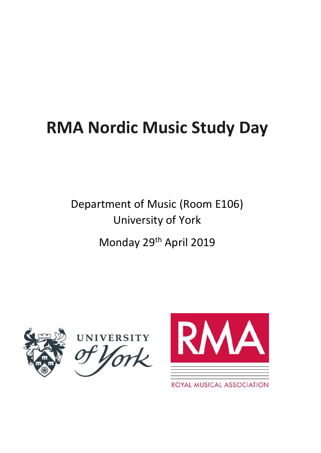# **RMA Nordic Music Study Day**

Department of Music (Room E106) University of York Monday 29th April 2019







ROYAL MUSICAL ASSOCIATION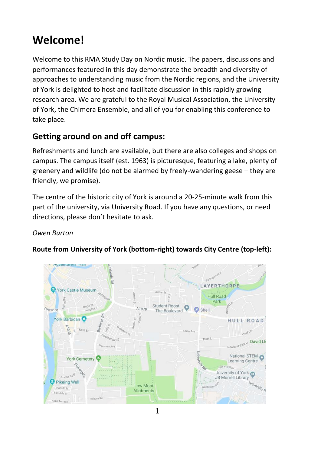## **Welcome!**

Welcome to this RMA Study Day on Nordic music. The papers, discussions and performances featured in this day demonstrate the breadth and diversity of approaches to understanding music from the Nordic regions, and the University of York is delighted to host and facilitate discussion in this rapidly growing research area. We are grateful to the Royal Musical Association, the University of York, the Chimera Ensemble, and all of you for enabling this conference to take place.

## **Getting around on and off campus:**

Refreshments and lunch are available, but there are also colleges and shops on campus. The campus itself (est. 1963) is picturesque, featuring a lake, plenty of greenery and wildlife (do not be alarmed by freely-wandering geese – they are friendly, we promise).

The centre of the historic city of York is around a 20-25-minute walk from this part of the university, via University Road. If you have any questions, or need directions, please don't hesitate to ask.

#### *Owen Burton*



#### **Route from University of York (bottom-right) towards City Centre (top-left):**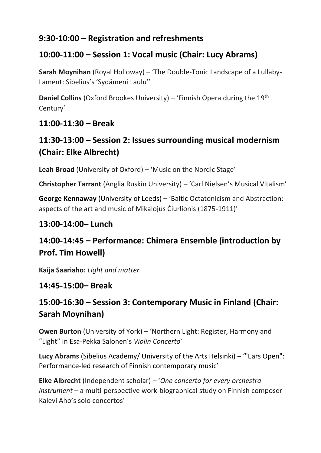## **9:30-10:00 – Registration and refreshments**

## **10:00-11:00 – Session 1: Vocal music (Chair: Lucy Abrams)**

**Sarah Moynihan** (Royal Holloway) – 'The Double-Tonic Landscape of a Lullaby-Lament: Sibelius's 'Sydämeni Laulu''

**Daniel Collins** (Oxford Brookes University) – 'Finnish Opera during the 19<sup>th</sup> Century'

## **11:00-11:30 – Break**

## **11:30-13:00 – Session 2: Issues surrounding musical modernism (Chair: Elke Albrecht)**

**Leah Broad** (University of Oxford) – 'Music on the Nordic Stage'

**Christopher Tarrant** (Anglia Ruskin University) – 'Carl Nielsen's Musical Vitalism'

**George Kennaway** (University of Leeds) – 'Baltic Octatonicism and Abstraction: aspects of the art and music of Mikalojus Čiurlionis (1875-1911)'

## **13:00-14:00– Lunch**

## **14:00-14:45 – Performance: Chimera Ensemble (introduction by Prof. Tim Howell)**

**Kaija Saariaho:** *Light and matter*

## **14:45-15:00– Break**

## **15:00-16:30 – Session 3: Contemporary Music in Finland (Chair: Sarah Moynihan)**

**Owen Burton** (University of York) – 'Northern Light: Register, Harmony and "Light" in Esa-Pekka Salonen's *Violin Concerto'* 

**Lucy Abrams** (Sibelius Academy/ University of the Arts Helsinki) – '"Ears Open": Performance-led research of Finnish contemporary music'

**Elke Albrecht** (Independent scholar) – '*One concerto for every orchestra instrument* – a multi-perspective work-biographical study on Finnish composer Kalevi Aho's solo concertos'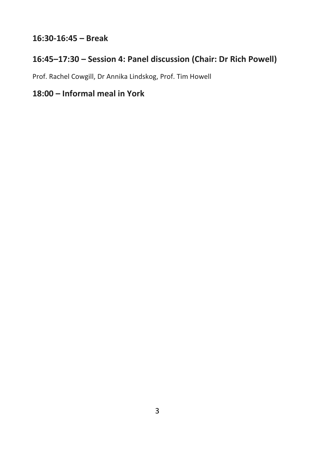## **16:30-16:45 – Break**

## **16:45–17:30 – Session 4: Panel discussion (Chair: Dr Rich Powell)**

Prof. Rachel Cowgill, Dr Annika Lindskog, Prof. Tim Howell

## **18:00 – Informal meal in York**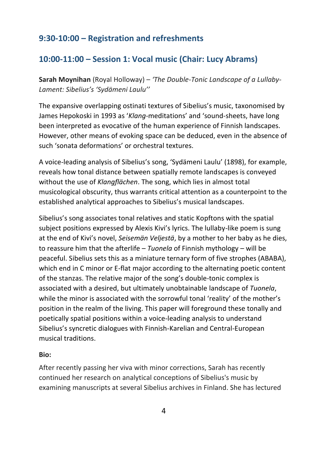## **9:30-10:00 – Registration and refreshments**

## **10:00-11:00 – Session 1: Vocal music (Chair: Lucy Abrams)**

**Sarah Moynihan** (Royal Holloway) – *'The Double-Tonic Landscape of a Lullaby-Lament: Sibelius's 'Sydämeni Laulu''*

The expansive overlapping ostinati textures of Sibelius's music, taxonomised by James Hepokoski in 1993 as '*Klang*-meditations' and 'sound-sheets, have long been interpreted as evocative of the human experience of Finnish landscapes. However, other means of evoking space can be deduced, even in the absence of such 'sonata deformations' or orchestral textures.

A voice-leading analysis of Sibelius's song, 'Sydämeni Laulu' (1898), for example, reveals how tonal distance between spatially remote landscapes is conveyed without the use of *Klangflächen*. The song, which lies in almost total musicological obscurity, thus warrants critical attention as a counterpoint to the established analytical approaches to Sibelius's musical landscapes.

Sibelius's song associates tonal relatives and static Kopftons with the spatial subject positions expressed by Alexis Kivi's lyrics. The lullaby-like poem is sung at the end of Kivi's novel, *Seisemän Veljestä*, by a mother to her baby as he dies, to reassure him that the afterlife – *Tuonela* of Finnish mythology – will be peaceful. Sibelius sets this as a miniature ternary form of five strophes (ABABA), which end in C minor or E-flat major according to the alternating poetic content of the stanzas. The relative major of the song's double-tonic complex is associated with a desired, but ultimately unobtainable landscape of *Tuonela*, while the minor is associated with the sorrowful tonal 'reality' of the mother's position in the realm of the living. This paper will foreground these tonally and poetically spatial positions within a voice-leading analysis to understand Sibelius's syncretic dialogues with Finnish-Karelian and Central-European musical traditions.

#### **Bio:**

After recently passing her viva with minor corrections, Sarah has recently continued her research on analytical conceptions of Sibelius's music by examining manuscripts at several Sibelius archives in Finland. She has lectured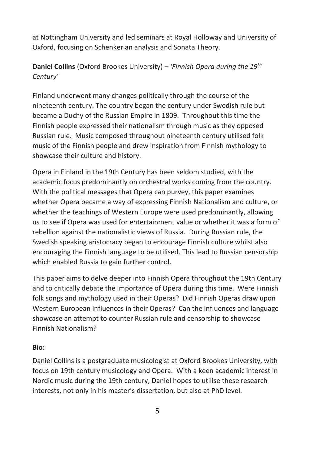at Nottingham University and led seminars at Royal Holloway and University of Oxford, focusing on Schenkerian analysis and Sonata Theory.

## **Daniel Collins** (Oxford Brookes University) – *'Finnish Opera during the 19th Century'*

Finland underwent many changes politically through the course of the nineteenth century. The country began the century under Swedish rule but became a Duchy of the Russian Empire in 1809. Throughout this time the Finnish people expressed their nationalism through music as they opposed Russian rule. Music composed throughout nineteenth century utilised folk music of the Finnish people and drew inspiration from Finnish mythology to showcase their culture and history.

Opera in Finland in the 19th Century has been seldom studied, with the academic focus predominantly on orchestral works coming from the country. With the political messages that Opera can purvey, this paper examines whether Opera became a way of expressing Finnish Nationalism and culture, or whether the teachings of Western Europe were used predominantly, allowing us to see if Opera was used for entertainment value or whether it was a form of rebellion against the nationalistic views of Russia. During Russian rule, the Swedish speaking aristocracy began to encourage Finnish culture whilst also encouraging the Finnish language to be utilised. This lead to Russian censorship which enabled Russia to gain further control.

This paper aims to delve deeper into Finnish Opera throughout the 19th Century and to critically debate the importance of Opera during this time. Were Finnish folk songs and mythology used in their Operas? Did Finnish Operas draw upon Western European influences in their Operas? Can the influences and language showcase an attempt to counter Russian rule and censorship to showcase Finnish Nationalism?

#### **Bio:**

Daniel Collins is a postgraduate musicologist at Oxford Brookes University, with focus on 19th century musicology and Opera. With a keen academic interest in Nordic music during the 19th century, Daniel hopes to utilise these research interests, not only in his master's dissertation, but also at PhD level.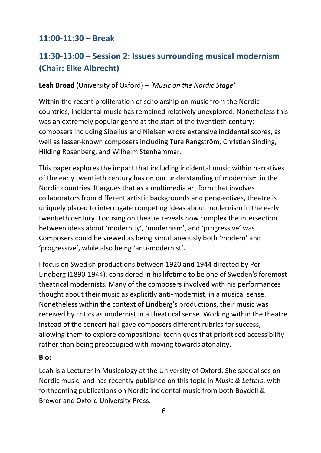#### **11:00-11:30 – Break**

## **11:30-13:00 – Session 2: Issues surrounding musical modernism (Chair: Elke Albrecht)**

#### **Leah Broad** (University of Oxford) – *'Music on the Nordic Stage'*

Within the recent proliferation of scholarship on music from the Nordic countries, incidental music has remained relatively unexplored. Nonetheless this was an extremely popular genre at the start of the twentieth century; composers including Sibelius and Nielsen wrote extensive incidental scores, as well as lesser-known composers including Ture Rangström, Christian Sinding, Hilding Rosenberg, and Wilhelm Stenhammar.

This paper explores the impact that including incidental music within narratives of the early twentieth century has on our understanding of modernism in the Nordic countries. It argues that as a multimedia art form that involves collaborators from different artistic backgrounds and perspectives, theatre is uniquely placed to interrogate competing ideas about modernism in the early twentieth century. Focusing on theatre reveals how complex the intersection between ideas about 'modernity', 'modernism', and 'progressive' was. Composers could be viewed as being simultaneously both 'modern' and 'progressive', while also being 'anti-modernist'.

I focus on Swedish productions between 1920 and 1944 directed by Per Lindberg (1890-1944), considered in his lifetime to be one of Sweden's foremost theatrical modernists. Many of the composers involved with his performances thought about their music as explicitly anti-modernist, in a musical sense. Nonetheless within the context of Lindberg's productions, their music was received by critics as modernist in a theatrical sense. Working within the theatre instead of the concert hall gave composers different rubrics for success, allowing them to explore compositional techniques that prioritised accessibility rather than being preoccupied with moving towards atonality.

#### **Bio:**

Leah is a Lecturer in Musicology at the University of Oxford. She specialises on Nordic music, and has recently published on this topic in *Music & Letters*, with forthcoming publications on Nordic incidental music from both Boydell & Brewer and Oxford University Press.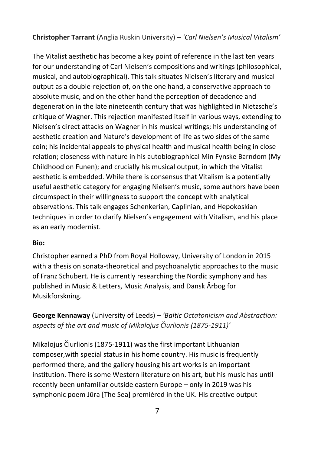#### **Christopher Tarrant** (Anglia Ruskin University) – *'Carl Nielsen's Musical Vitalism'*

The Vitalist aesthetic has become a key point of reference in the last ten years for our understanding of Carl Nielsen's compositions and writings (philosophical, musical, and autobiographical). This talk situates Nielsen's literary and musical output as a double-rejection of, on the one hand, a conservative approach to absolute music, and on the other hand the perception of decadence and degeneration in the late nineteenth century that was highlighted in Nietzsche's critique of Wagner. This rejection manifested itself in various ways, extending to Nielsen's direct attacks on Wagner in his musical writings; his understanding of aesthetic creation and Nature's development of life as two sides of the same coin; his incidental appeals to physical health and musical health being in close relation; closeness with nature in his autobiographical Min Fynske Barndom (My Childhood on Funen); and crucially his musical output, in which the Vitalist aesthetic is embedded. While there is consensus that Vitalism is a potentially useful aesthetic category for engaging Nielsen's music, some authors have been circumspect in their willingness to support the concept with analytical observations. This talk engages Schenkerian, Caplinian, and Hepokoskian techniques in order to clarify Nielsen's engagement with Vitalism, and his place as an early modernist.

#### **Bio:**

Christopher earned a PhD from Royal Holloway, University of London in 2015 with a thesis on sonata-theoretical and psychoanalytic approaches to the music of Franz Schubert. He is currently researching the Nordic symphony and has published in Music & Letters, Music Analysis, and Dansk Årbog for Musikforskning.

**George Kennaway** (University of Leeds) – *'Baltic Octatonicism and Abstraction: aspects of the art and music of Mikalojus Čiurlionis (1875-1911)'*

Mikalojus Čiurlionis (1875-1911) was the first important Lithuanian composer,with special status in his home country. His music is frequently performed there, and the gallery housing his art works is an important institution. There is some Western literature on his art, but his music has until recently been unfamiliar outside eastern Europe – only in 2019 was his symphonic poem Jūra [The Sea] premièred in the UK. His creative output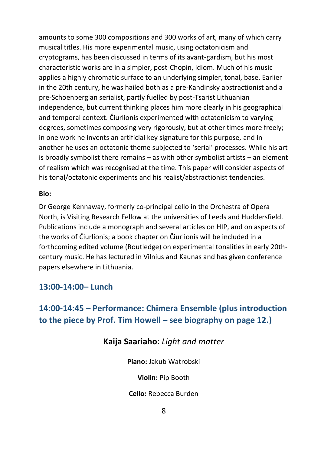amounts to some 300 compositions and 300 works of art, many of which carry musical titles. His more experimental music, using octatonicism and cryptograms, has been discussed in terms of its avant-gardism, but his most characteristic works are in a simpler, post-Chopin, idiom. Much of his music applies a highly chromatic surface to an underlying simpler, tonal, base. Earlier in the 20th century, he was hailed both as a pre-Kandinsky abstractionist and a pre-Schoenbergian serialist, partly fuelled by post-Tsarist Lithuanian independence, but current thinking places him more clearly in his geographical and temporal context. Čiurlionis experimented with octatonicism to varying degrees, sometimes composing very rigorously, but at other times more freely; in one work he invents an artificial key signature for this purpose, and in another he uses an octatonic theme subjected to 'serial' processes. While his art is broadly symbolist there remains – as with other symbolist artists – an element of realism which was recognised at the time. This paper will consider aspects of his tonal/octatonic experiments and his realist/abstractionist tendencies.

#### **Bio:**

Dr George Kennaway, formerly co-principal cello in the Orchestra of Opera North, is Visiting Research Fellow at the universities of Leeds and Huddersfield. Publications include a monograph and several articles on HIP, and on aspects of the works of Čiurlionis; a book chapter on Čiurlionis will be included in a forthcoming edited volume (Routledge) on experimental tonalities in early 20thcentury music. He has lectured in Vilnius and Kaunas and has given conference papers elsewhere in Lithuania.

#### **13:00-14:00– Lunch**

## **14:00-14:45 – Performance: Chimera Ensemble (plus introduction to the piece by Prof. Tim Howell – see biography on page 12.)**

#### **Kaija Saariaho**: *Light and matter*

**Piano:** Jakub Watrobski

**Violin:** Pip Booth

**Cello:** Rebecca Burden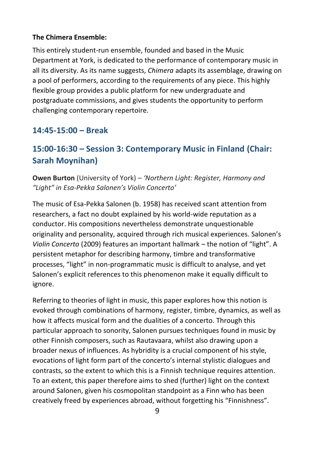#### **The Chimera Ensemble:**

This entirely student-run ensemble, founded and based in the Music Department at York, is dedicated to the performance of contemporary music in all its diversity. As its name suggests, *Chimera* adapts its assemblage, drawing on a pool of performers, according to the requirements of any piece. This highly flexible group provides a public platform for new undergraduate and postgraduate commissions, and gives students the opportunity to perform challenging contemporary repertoire.

#### **14:45-15:00 – Break**

## **15:00-16:30 – Session 3: Contemporary Music in Finland (Chair: Sarah Moynihan)**

**Owen Burton** (University of York) – *'Northern Light: Register, Harmony and "Light" in Esa-Pekka Salonen's Violin Concerto'*

The music of Esa-Pekka Salonen (b. 1958) has received scant attention from researchers, a fact no doubt explained by his world-wide reputation as a conductor. His compositions nevertheless demonstrate unquestionable originality and personality, acquired through rich musical experiences. Salonen's *Violin Concerto* (2009) features an important hallmark – the notion of "light". A persistent metaphor for describing harmony, timbre and transformative processes, "light" in non-programmatic music is difficult to analyse, and yet Salonen's explicit references to this phenomenon make it equally difficult to ignore.

Referring to theories of light in music, this paper explores how this notion is evoked through combinations of harmony, register, timbre, dynamics, as well as how it affects musical form and the dualities of a concerto. Through this particular approach to sonority, Salonen pursues techniques found in music by other Finnish composers, such as Rautavaara, whilst also drawing upon a broader nexus of influences. As hybridity is a crucial component of his style, evocations of light form part of the concerto's internal stylistic dialogues and contrasts, so the extent to which this is a Finnish technique requires attention. To an extent, this paper therefore aims to shed (further) light on the context around Salonen, given his cosmopolitan standpoint as a Finn who has been creatively freed by experiences abroad, without forgetting his "Finnishness".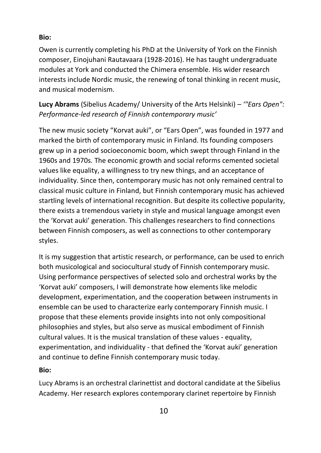#### **Bio:**

Owen is currently completing his PhD at the University of York on the Finnish composer, Einojuhani Rautavaara (1928-2016). He has taught undergraduate modules at York and conducted the Chimera ensemble. His wider research interests include Nordic music, the renewing of tonal thinking in recent music, and musical modernism.

**Lucy Abrams** (Sibelius Academy/ University of the Arts Helsinki) – *'"Ears Open": Performance-led research of Finnish contemporary music'*

The new music society "Korvat auki", or "Ears Open", was founded in 1977 and marked the birth of contemporary music in Finland. Its founding composers grew up in a period socioeconomic boom, which swept through Finland in the 1960s and 1970s. The economic growth and social reforms cemented societal values like equality, a willingness to try new things, and an acceptance of individuality. Since then, contemporary music has not only remained central to classical music culture in Finland, but Finnish contemporary music has achieved startling levels of international recognition. But despite its collective popularity, there exists a tremendous variety in style and musical language amongst even the 'Korvat auki' generation. This challenges researchers to find connections between Finnish composers, as well as connections to other contemporary styles.

It is my suggestion that artistic research, or performance, can be used to enrich both musicological and sociocultural study of Finnish contemporary music. Using performance perspectives of selected solo and orchestral works by the 'Korvat auki' composers, I will demonstrate how elements like melodic development, experimentation, and the cooperation between instruments in ensemble can be used to characterize early contemporary Finnish music. I propose that these elements provide insights into not only compositional philosophies and styles, but also serve as musical embodiment of Finnish cultural values. It is the musical translation of these values - equality, experimentation, and individuality - that defined the 'Korvat auki' generation and continue to define Finnish contemporary music today.

#### **Bio:**

Lucy Abrams is an orchestral clarinettist and doctoral candidate at the Sibelius Academy. Her research explores contemporary clarinet repertoire by Finnish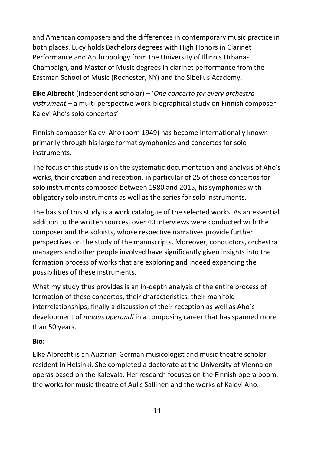and American composers and the differences in contemporary music practice in both places. Lucy holds Bachelors degrees with High Honors in Clarinet Performance and Anthropology from the University of Illinois Urbana-Champaign, and Master of Music degrees in clarinet performance from the Eastman School of Music (Rochester, NY) and the Sibelius Academy.

**Elke Albrecht** (Independent scholar) – '*One concerto for every orchestra instrument* – a multi-perspective work-biographical study on Finnish composer Kalevi Aho's solo concertos'

Finnish composer Kalevi Aho (born 1949) has become internationally known primarily through his large format symphonies and concertos for solo instruments.

The focus of this study is on the systematic documentation and analysis of Aho's works, their creation and reception, in particular of 25 of those concertos for solo instruments composed between 1980 and 2015, his symphonies with obligatory solo instruments as well as the series for solo instruments.

The basis of this study is a work catalogue of the selected works. As an essential addition to the written sources, over 40 interviews were conducted with the composer and the soloists, whose respective narratives provide further perspectives on the study of the manuscripts. Moreover, conductors, orchestra managers and other people involved have significantly given insights into the formation process of works that are exploring and indeed expanding the possibilities of these instruments.

What my study thus provides is an in-depth analysis of the entire process of formation of these concertos, their characteristics, their manifold interrelationships; finally a discussion of their reception as well as Aho´s development of *modus operandi* in a composing career that has spanned more than 50 years.

#### **Bio:**

Elke Albrecht is an Austrian-German musicologist and music theatre scholar resident in Helsinki. She completed a doctorate at the University of Vienna on operas based on the Kalevala. Her research focuses on the Finnish opera boom, the works for music theatre of Aulis Sallinen and the works of Kalevi Aho.